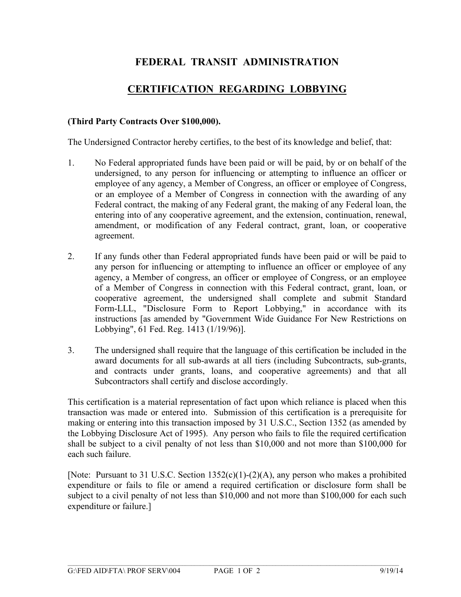## **FEDERAL TRANSIT ADMINISTRATION**

## **CERTIFICATION REGARDING LOBBYING**

## **(Third Party Contracts Over \$100,000).**

The Undersigned Contractor hereby certifies, to the best of its knowledge and belief, that:

- 1. No Federal appropriated funds have been paid or will be paid, by or on behalf of the undersigned, to any person for influencing or attempting to influence an officer or employee of any agency, a Member of Congress, an officer or employee of Congress, or an employee of a Member of Congress in connection with the awarding of any Federal contract, the making of any Federal grant, the making of any Federal loan, the entering into of any cooperative agreement, and the extension, continuation, renewal, amendment, or modification of any Federal contract, grant, loan, or cooperative agreement.
- 2. If any funds other than Federal appropriated funds have been paid or will be paid to any person for influencing or attempting to influence an officer or employee of any agency, a Member of congress, an officer or employee of Congress, or an employee of a Member of Congress in connection with this Federal contract, grant, loan, or cooperative agreement, the undersigned shall complete and submit Standard Form-LLL, "Disclosure Form to Report Lobbying," in accordance with its instructions [as amended by "Government Wide Guidance For New Restrictions on Lobbying", 61 Fed. Reg. 1413 (1/19/96)].
- 3. The undersigned shall require that the language of this certification be included in the award documents for all sub-awards at all tiers (including Subcontracts, sub-grants, and contracts under grants, loans, and cooperative agreements) and that all Subcontractors shall certify and disclose accordingly.

This certification is a material representation of fact upon which reliance is placed when this transaction was made or entered into. Submission of this certification is a prerequisite for making or entering into this transaction imposed by 31 U.S.C., Section 1352 (as amended by the Lobbying Disclosure Act of 1995). Any person who fails to file the required certification shall be subject to a civil penalty of not less than \$10,000 and not more than \$100,000 for each such failure.

[Note: Pursuant to 31 U.S.C. Section 1352(c)(1)-(2)(A), any person who makes a prohibited expenditure or fails to file or amend a required certification or disclosure form shall be subject to a civil penalty of not less than \$10,000 and not more than \$100,000 for each such expenditure or failure.]

 $\mathcal{L}_\mathcal{L} = \mathcal{L}_\mathcal{L} = \mathcal{L}_\mathcal{L} = \mathcal{L}_\mathcal{L} = \mathcal{L}_\mathcal{L} = \mathcal{L}_\mathcal{L} = \mathcal{L}_\mathcal{L} = \mathcal{L}_\mathcal{L} = \mathcal{L}_\mathcal{L} = \mathcal{L}_\mathcal{L} = \mathcal{L}_\mathcal{L} = \mathcal{L}_\mathcal{L} = \mathcal{L}_\mathcal{L} = \mathcal{L}_\mathcal{L} = \mathcal{L}_\mathcal{L} = \mathcal{L}_\mathcal{L} = \mathcal{L}_\mathcal{L}$